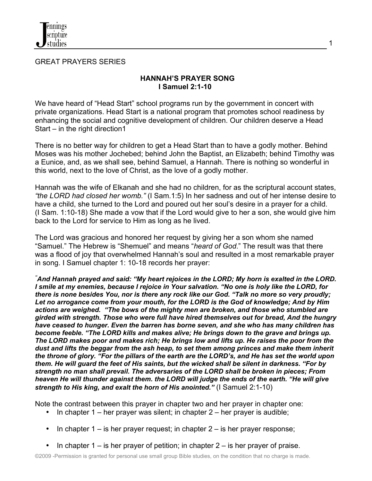

GREAT PRAYERS SERIES

#### **HANNAH'S PRAYER SONG I Samuel 2:1-10**

We have heard of "Head Start" school programs run by the government in concert with private organizations. Head Start is a national program that promotes school readiness by enhancing the social and cognitive development of children. Our children deserve a Head Start – in the right direction1

There is no better way for children to get a Head Start than to have a godly mother. Behind Moses was his mother Jochebed; behind John the Baptist, an Elizabeth; behind Timothy was a Eunice, and, as we shall see, behind Samuel, a Hannah. There is nothing so wonderful in this world, next to the love of Christ, as the love of a godly mother.

Hannah was the wife of Elkanah and she had no children, for as the scriptural account states, *"the LORD had closed her womb."* (I Sam.1:5) In her sadness and out of her intense desire to have a child, she turned to the Lord and poured out her soul's desire in a prayer for a child. (I Sam. 1:10-18) She made a vow that if the Lord would give to her a son, she would give him back to the Lord for service to Him as long as he lived.

The Lord was gracious and honored her request by giving her a son whom she named "Samuel." The Hebrew is "Shemuel" and means "*heard of God*." The result was that there was a flood of joy that overwhelmed Hannah's soul and resulted in a most remarkable prayer in song. I Samuel chapter 1: 10-18 records her prayer:

*" And Hannah prayed and said: "My heart rejoices in the LORD; My horn is exalted in the LORD. I smile at my enemies, because I rejoice in Your salvation. "No one is holy like the LORD, for there is none besides You, nor is there any rock like our God. "Talk no more so very proudly; Let no arrogance come from your mouth, for the LORD is the God of knowledge; And by Him actions are weighed. "The bows of the mighty men are broken, and those who stumbled are girded with strength. Those who were full have hired themselves out for bread, And the hungry have ceased to hunger. Even the barren has borne seven, and she who has many children has become feeble. "The LORD kills and makes alive; He brings down to the grave and brings up. The LORD makes poor and makes rich; He brings low and lifts up. He raises the poor from the dust and lifts the beggar from the ash heap, to set them among princes and make them inherit the throne of glory. "For the pillars of the earth are the LORD's, and He has set the world upon them. He will guard the feet of His saints, but the wicked shall be silent in darkness. "For by strength no man shall prevail. The adversaries of the LORD shall be broken in pieces; From heaven He will thunder against them. the LORD will judge the ends of the earth. "He will give strength to His king, and exalt the horn of His anointed."* (I Samuel 2:1-10)

Note the contrast between this prayer in chapter two and her prayer in chapter one:

- In chapter  $1$  her prayer was silent; in chapter  $2$  her prayer is audible;
- In chapter  $1 -$  is her prayer request; in chapter  $2 -$  is her prayer response;
- In chapter  $1 -$  is her prayer of petition; in chapter  $2 -$  is her prayer of praise.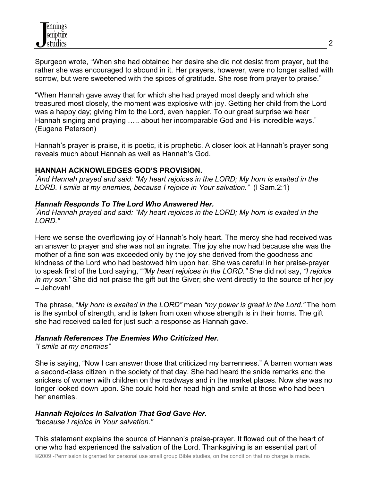Spurgeon wrote, "When she had obtained her desire she did not desist from prayer, but the rather she was encouraged to abound in it. Her prayers, however, were no longer salted with sorrow, but were sweetened with the spices of gratitude. She rose from prayer to praise."

"When Hannah gave away that for which she had prayed most deeply and which she treasured most closely, the moment was explosive with joy. Getting her child from the Lord was a happy day; giving him to the Lord, even happier. To our great surprise we hear Hannah singing and praying ..... about her incomparable God and His incredible ways." (Eugene Peterson)

Hannah's prayer is praise, it is poetic, it is prophetic. A closer look at Hannah's prayer song reveals much about Hannah as well as Hannah's God.

#### **HANNAH ACKNOWLEDGES GOD'S PROVISION.**

*" And Hannah prayed and said: "My heart rejoices in the LORD; My horn is exalted in the LORD. I smile at my enemies, because I rejoice in Your salvation."* (I Sam.2:1)

## *Hannah Responds To The Lord Who Answered Her. "*

*And Hannah prayed and said: "My heart rejoices in the LORD; My horn is exalted in the LORD."*

Here we sense the overflowing joy of Hannah's holy heart. The mercy she had received was an answer to prayer and she was not an ingrate. The joy she now had because she was the mother of a fine son was exceeded only by the joy she derived from the goodness and kindness of the Lord who had bestowed him upon her. She was careful in her praise-prayer to speak first of the Lord saying, "*"My heart rejoices in the LORD."* She did not say, *"I rejoice in my son."* She did not praise the gift but the Giver; she went directly to the source of her joy – Jehovah!

The phrase, "*My horn is exalted in the LORD"* mean *"my power is great in the Lord."* The horn is the symbol of strength, and is taken from oxen whose strength is in their horns. The gift she had received called for just such a response as Hannah gave.

## *Hannah References The Enemies Who Criticized Her.*

*"I smile at my enemies"*

She is saying, "Now I can answer those that criticized my barrenness." A barren woman was a second-class citizen in the society of that day. She had heard the snide remarks and the snickers of women with children on the roadways and in the market places. Now she was no longer looked down upon. She could hold her head high and smile at those who had been her enemies.

# *Hannah Rejoices In Salvation That God Gave Her.*

*"because I rejoice in Your salvation."*

This statement explains the source of Hannan's praise-prayer. It flowed out of the heart of one who had experienced the salvation of the Lord. Thanksgiving is an essential part of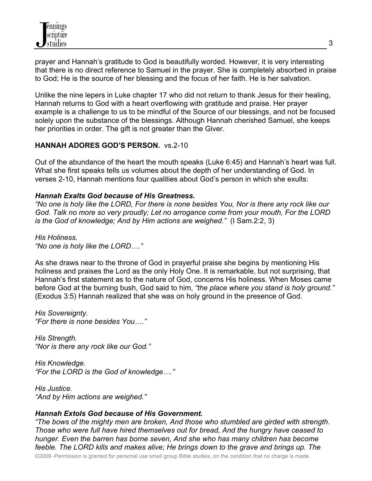prayer and Hannah's gratitude to God is beautifully worded. However, it is very interesting that there is no direct reference to Samuel in the prayer. She is completely absorbed in praise to God; He is the source of her blessing and the focus of her faith. He is her salvation.

Unlike the nine lepers in Luke chapter 17 who did not return to thank Jesus for their healing, Hannah returns to God with a heart overflowing with gratitude and praise. Her prayer example is a challenge to us to be mindful of the Source of our blessings, and not be focused solely upon the substance of the blessings. Although Hannah cherished Samuel, she keeps her priorities in order. The gift is not greater than the Giver.

## **HANNAH ADORES GOD'S PERSON.** vs.2-10

Out of the abundance of the heart the mouth speaks (Luke 6:45) and Hannah's heart was full. What she first speaks tells us volumes about the depth of her understanding of God. In verses 2-10, Hannah mentions four qualities about God's person in which she exults:

#### *Hannah Exalts God because of His Greatness.*

*"No one is holy like the LORD, For there is none besides You, Nor is there any rock like our God. Talk no more so very proudly; Let no arrogance come from your mouth, For the LORD is the God of knowledge; And by Him actions are weighed."* (I Sam.2:2, 3)

*His Holiness. "No one is holy like the LORD…."* 

As she draws near to the throne of God in prayerful praise she begins by mentioning His holiness and praises the Lord as the only Holy One. It is remarkable, but not surprising, that Hannah's first statement as to the nature of God, concerns His holiness. When Moses came before God at the burning bush, God said to him, *"the place where you stand is holy ground."* (Exodus 3:5) Hannah realized that she was on holy ground in the presence of God.

*His Sovereignty. "For there is none besides You…."*

*His Strength. "Nor is there any rock like our God."*

*His Knowledge. "For the LORD is the God of knowledge…."*

*His Justice. "And by Him actions are weighed."*

## *Hannah Extols God because of His Government.*

*"The bows of the mighty men are broken, And those who stumbled are girded with strength. Those who were full have hired themselves out for bread, And the hungry have ceased to hunger. Even the barren has borne seven, And she who has many children has become feeble. The LORD kills and makes alive; He brings down to the grave and brings up. The*